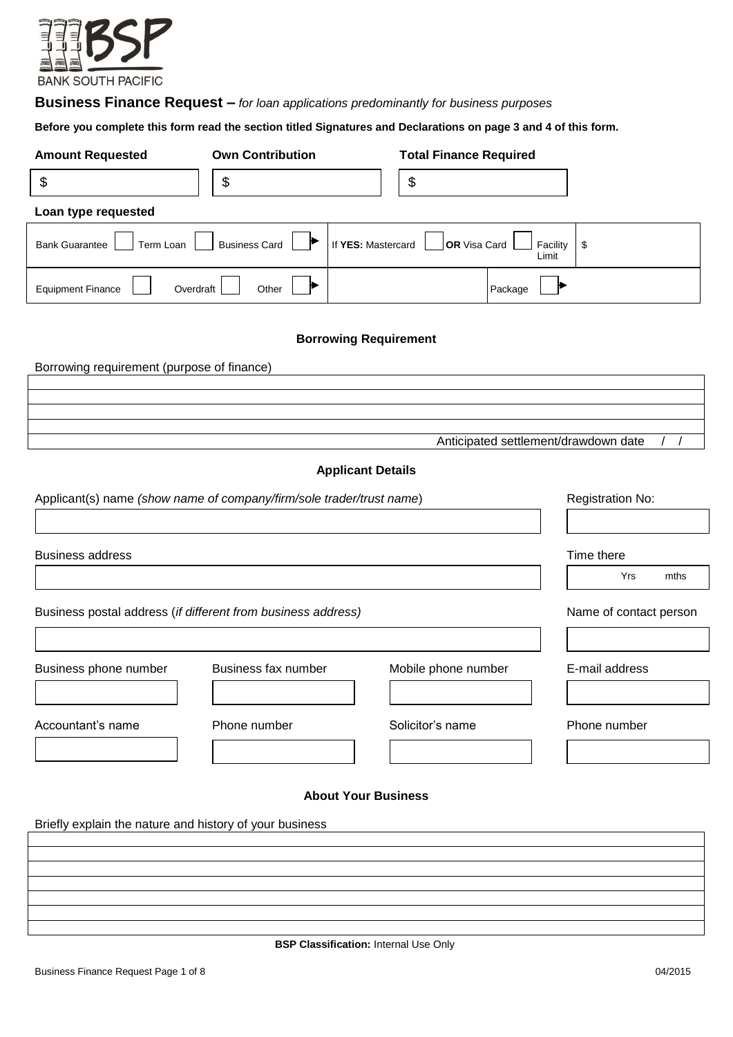

## **Business Finance Request –** *for loan applications predominantly for business purposes*

**Before you complete this form read the section titled Signatures and Declarations on page 3 and 4 of this form.**

| <b>Amount Requested</b>               | <b>Own Contribution</b> | <b>Total Finance Required</b>                           |    |  |  |  |
|---------------------------------------|-------------------------|---------------------------------------------------------|----|--|--|--|
| \$                                    | \$                      | \$                                                      |    |  |  |  |
| Loan type requested                   |                         |                                                         |    |  |  |  |
| Term Loan<br><b>Bank Guarantee</b>    | <b>Business Card</b>    | OR Visa Card<br>If YES: Mastercard<br>Facility<br>Limit | \$ |  |  |  |
| Overdraft<br><b>Equipment Finance</b> | Other                   | Package                                                 |    |  |  |  |

## **Borrowing Requirement**

Borrowing requirement (purpose of finance)

Anticipated settlement/drawdown date

# **Applicant Details**

|                         | Applicant(s) name (show name of company/firm/sole trader/trust name) |                            | <b>Registration No:</b> |
|-------------------------|----------------------------------------------------------------------|----------------------------|-------------------------|
| <b>Business address</b> |                                                                      |                            | Time there              |
|                         |                                                                      |                            | Yrs<br>mths             |
|                         | Business postal address (if different from business address)         |                            | Name of contact person  |
|                         |                                                                      |                            |                         |
| Business phone number   | Business fax number                                                  | Mobile phone number        | E-mail address          |
|                         |                                                                      |                            |                         |
| Accountant's name       | Phone number                                                         | Solicitor's name           | Phone number            |
|                         |                                                                      |                            |                         |
|                         |                                                                      | <b>About Your Business</b> |                         |

Briefly explain the nature and history of your business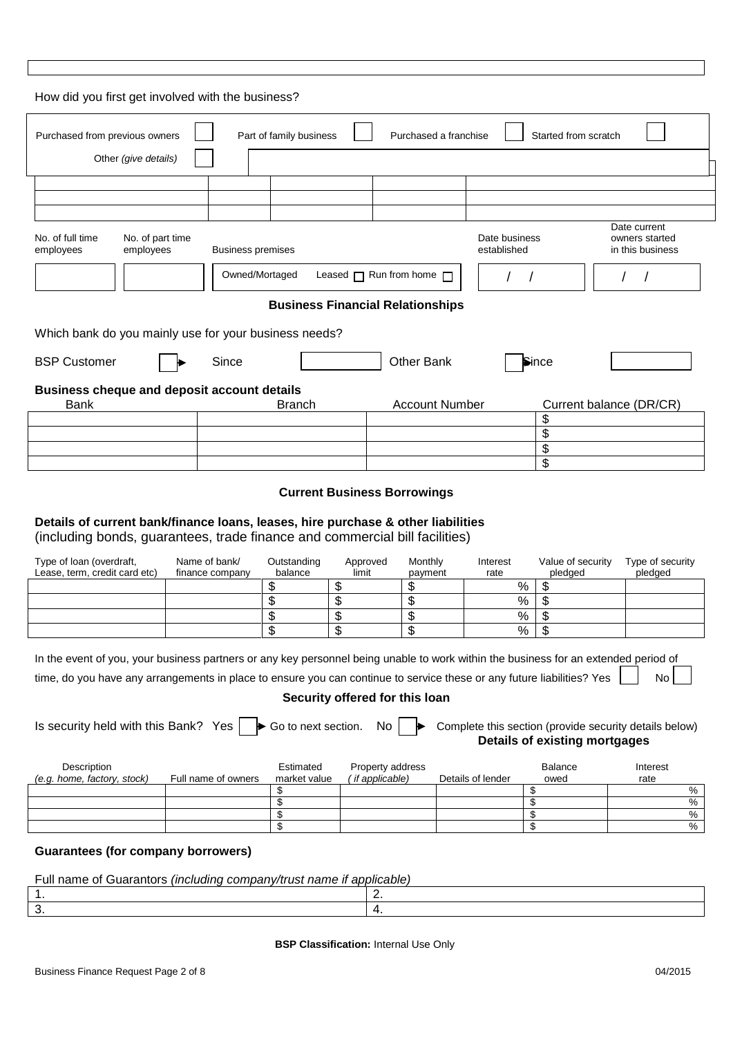| Purchased from previous owners                                                                                                                                                                                                                                                                                                                                                                                                                                        |               |                          | How did you first get involved with the business? |                   |                                         |                              |                                      |                                                              |
|-----------------------------------------------------------------------------------------------------------------------------------------------------------------------------------------------------------------------------------------------------------------------------------------------------------------------------------------------------------------------------------------------------------------------------------------------------------------------|---------------|--------------------------|---------------------------------------------------|-------------------|-----------------------------------------|------------------------------|--------------------------------------|--------------------------------------------------------------|
|                                                                                                                                                                                                                                                                                                                                                                                                                                                                       |               |                          | Part of family business                           |                   | Purchased a franchise                   |                              | Started from scratch                 |                                                              |
| Other (give details)                                                                                                                                                                                                                                                                                                                                                                                                                                                  |               |                          |                                                   |                   |                                         |                              |                                      |                                                              |
|                                                                                                                                                                                                                                                                                                                                                                                                                                                                       |               |                          |                                                   |                   |                                         |                              |                                      |                                                              |
|                                                                                                                                                                                                                                                                                                                                                                                                                                                                       |               |                          |                                                   |                   |                                         |                              |                                      |                                                              |
| No. of full time<br>No. of part time<br>employees<br>employees                                                                                                                                                                                                                                                                                                                                                                                                        |               | <b>Business premises</b> |                                                   |                   |                                         | Date business<br>established |                                      | Date current<br>owners started<br>in this business           |
|                                                                                                                                                                                                                                                                                                                                                                                                                                                                       |               | Owned/Mortaged           |                                                   |                   | Leased $\Box$ Run from home $\Box$      |                              |                                      |                                                              |
|                                                                                                                                                                                                                                                                                                                                                                                                                                                                       |               |                          |                                                   |                   |                                         |                              |                                      |                                                              |
|                                                                                                                                                                                                                                                                                                                                                                                                                                                                       |               |                          |                                                   |                   | <b>Business Financial Relationships</b> |                              |                                      |                                                              |
| Which bank do you mainly use for your business needs?                                                                                                                                                                                                                                                                                                                                                                                                                 |               |                          |                                                   |                   |                                         |                              |                                      |                                                              |
| <b>BSP Customer</b>                                                                                                                                                                                                                                                                                                                                                                                                                                                   |               | Since                    |                                                   |                   | <b>Other Bank</b>                       |                              | Since                                |                                                              |
| <b>Business cheque and deposit account details</b><br><b>Bank</b>                                                                                                                                                                                                                                                                                                                                                                                                     |               |                          | <b>Branch</b>                                     |                   | <b>Account Number</b>                   |                              |                                      | Current balance (DR/CR)                                      |
|                                                                                                                                                                                                                                                                                                                                                                                                                                                                       |               |                          |                                                   |                   |                                         |                              | \$                                   |                                                              |
|                                                                                                                                                                                                                                                                                                                                                                                                                                                                       |               |                          |                                                   |                   |                                         |                              | \$                                   |                                                              |
|                                                                                                                                                                                                                                                                                                                                                                                                                                                                       |               |                          |                                                   |                   |                                         |                              | \$<br>\$                             |                                                              |
|                                                                                                                                                                                                                                                                                                                                                                                                                                                                       |               |                          |                                                   |                   |                                         |                              |                                      |                                                              |
| (including bonds, guarantees, trade finance and commercial bill facilities)<br>Type of loan (overdraft,<br>Lease, term, credit card etc)                                                                                                                                                                                                                                                                                                                              | Name of bank/ | finance company          | Outstanding<br>balance                            | Approved<br>limit | Monthly<br>payment                      | Interest<br>rate             | Value of security<br>pledged         | Type of security<br>pledged                                  |
|                                                                                                                                                                                                                                                                                                                                                                                                                                                                       |               |                          | \$                                                | \$                | \$                                      | $\%$                         | \$                                   |                                                              |
|                                                                                                                                                                                                                                                                                                                                                                                                                                                                       |               |                          | \$<br>\$                                          | \$<br>\$          | \$<br>\$                                | $\%$<br>$\frac{9}{6}$        | \$<br>\$                             |                                                              |
|                                                                                                                                                                                                                                                                                                                                                                                                                                                                       |               |                          | \$                                                | \$                | \$                                      | $\frac{1}{6}$                | $\overline{\boldsymbol{\theta}}$     |                                                              |
|                                                                                                                                                                                                                                                                                                                                                                                                                                                                       |               |                          |                                                   |                   |                                         |                              |                                      |                                                              |
|                                                                                                                                                                                                                                                                                                                                                                                                                                                                       |               | ▶                        | Go to next section.                               |                   | Security offered for this loan<br>No    |                              | <b>Details of existing mortgages</b> | No<br>Complete this section (provide security details below) |
| Description                                                                                                                                                                                                                                                                                                                                                                                                                                                           |               | Full name of owners      | Estimated<br>market value                         |                   | Property address<br>if applicable)      | Details of lender            | <b>Balance</b><br>owed               | Interest<br>rate                                             |
|                                                                                                                                                                                                                                                                                                                                                                                                                                                                       |               |                          | \$                                                |                   |                                         |                              | \$                                   | %                                                            |
|                                                                                                                                                                                                                                                                                                                                                                                                                                                                       |               |                          | \$<br>\$                                          |                   |                                         |                              | \$<br>\$                             | $\%$<br>$\%$                                                 |
|                                                                                                                                                                                                                                                                                                                                                                                                                                                                       |               |                          | \$                                                |                   |                                         |                              | \$                                   | $\%$                                                         |
|                                                                                                                                                                                                                                                                                                                                                                                                                                                                       |               |                          |                                                   |                   |                                         |                              |                                      |                                                              |
| In the event of you, your business partners or any key personnel being unable to work within the business for an extended period of<br>time, do you have any arrangements in place to ensure you can continue to service these or any future liabilities? Yes<br>Is security held with this Bank? Yes<br>(e.g. home, factory, stock)<br><b>Guarantees (for company borrowers)</b><br>Full name of Guarantors (including company/trust name if applicable)<br>1.<br>3. |               |                          |                                                   |                   | 2.<br>4.                                |                              |                                      |                                                              |
|                                                                                                                                                                                                                                                                                                                                                                                                                                                                       |               |                          |                                                   |                   |                                         |                              |                                      |                                                              |

 $\mathsf{l}$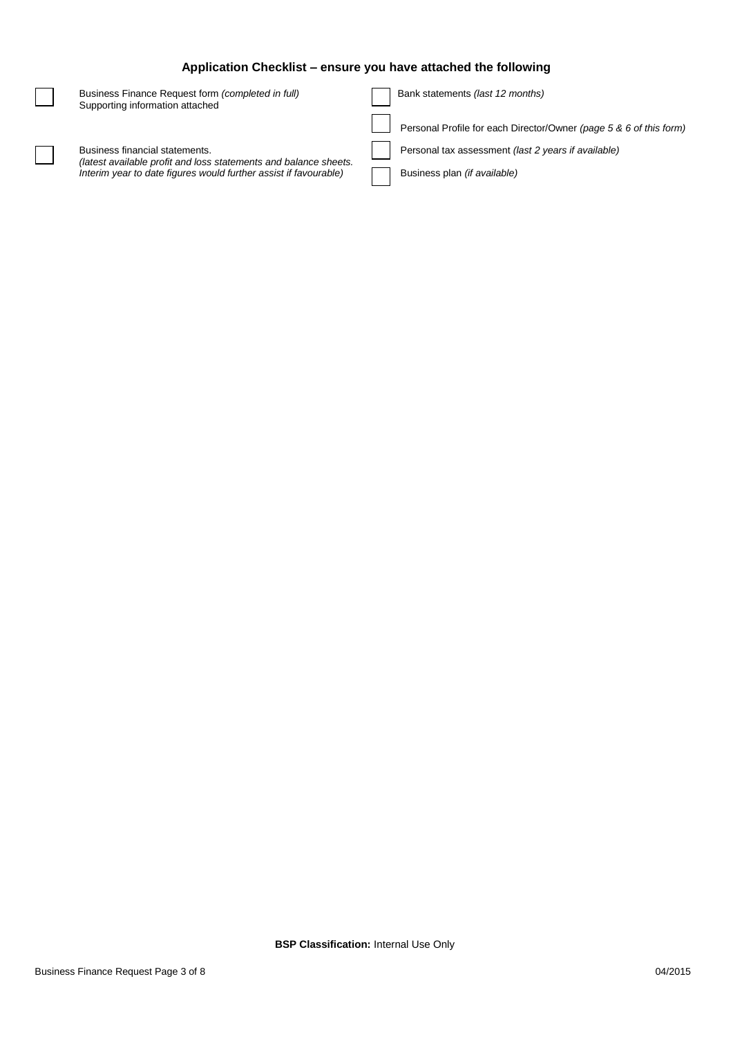# **Application Checklist – ensure you have attached the following**

| Business Finance Request form (completed in full)<br>Supporting information attached               | Bank statements (last 12 months)                                   |
|----------------------------------------------------------------------------------------------------|--------------------------------------------------------------------|
|                                                                                                    | Personal Profile for each Director/Owner (page 5 & 6 of this form) |
| Business financial statements.<br>(latest available profit and loss statements and balance sheets. | Personal tax assessment (last 2 years if available)                |
| Interim year to date figures would further assist if favourable)                                   | Business plan (if available)                                       |
|                                                                                                    |                                                                    |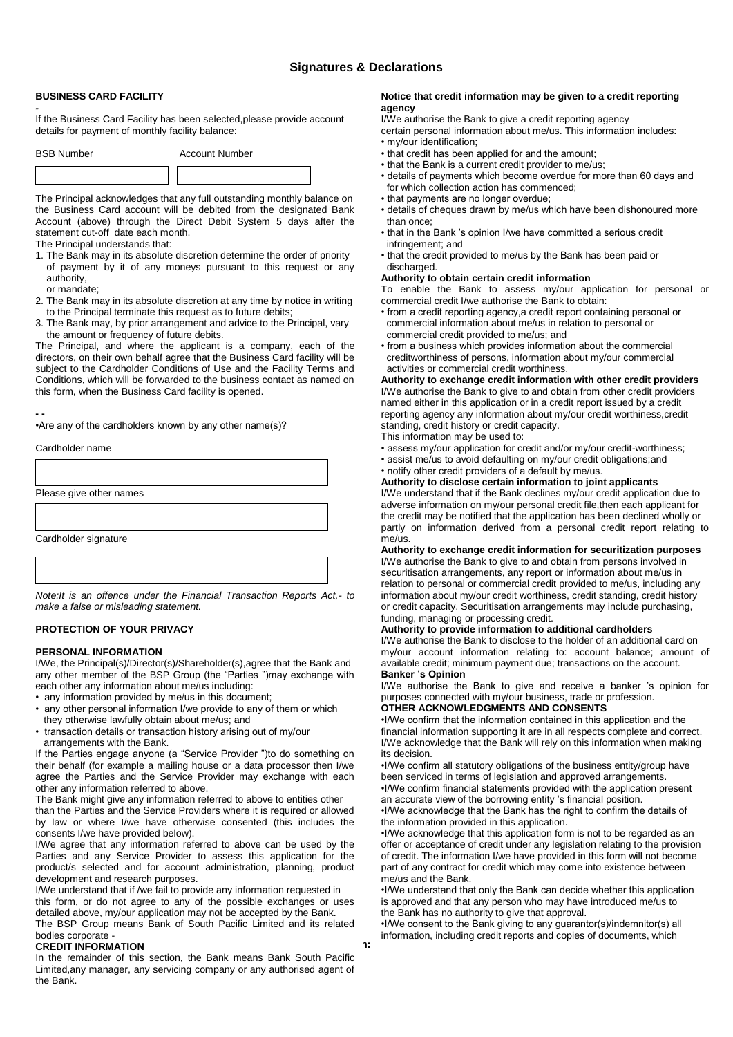### **Signatures & Declarations**

### **BUSINESS CARD FACILITY**

*-* If the Business Card Facility has been selected,please provide account details for payment of monthly facility balance:

| <b>BSB Number</b> | <b>Account Number</b> |  |  |  |  |
|-------------------|-----------------------|--|--|--|--|
|                   |                       |  |  |  |  |

The Principal acknowledges that any full outstanding monthly balance on the Business Card account will be debited from the designated Bank Account (above) through the Direct Debit System 5 days after the statement cut-off date each month.

The Principal understands that:

1. The Bank may in its absolute discretion determine the order of priority of payment by it of any moneys pursuant to this request or any authority,

or mandate;

- 2. The Bank may in its absolute discretion at any time by notice in writing to the Principal terminate this request as to future debits;
- 3. The Bank may, by prior arrangement and advice to the Principal, vary the amount or frequency of future debits.

The Principal, and where the applicant is a company, each of the directors, on their own behalf agree that the Business Card facility will be subject to the Cardholder Conditions of Use and the Facility Terms and Conditions, which will be forwarded to the business contact as named on this form, when the Business Card facility is opened.

### **- -**

•Are any of the cardholders known by any other name(s)?

Cardholder name



*Note:It is an offence under the Financial Transaction Reports Act,- to make a false or misleading statement.* 

### **PROTECTION OF YOUR PRIVACY**

### **PERSONAL INFORMATION**

I/We, the Principal(s)/Director(s)/Shareholder(s),agree that the Bank and any other member of the BSP Group (the "Parties ")may exchange with each other any information about me/us including:

- any information provided by me/us in this document;
- any other personal information I/we provide to any of them or which they otherwise lawfully obtain about me/us; and
- transaction details or transaction history arising out of my/our arrangements with the Bank.

If the Parties engage anyone (a "Service Provider ")to do something on their behalf (for example a mailing house or a data processor then I/we agree the Parties and the Service Provider may exchange with each other any information referred to above.

The Bank might give any information referred to above to entities other than the Parties and the Service Providers where it is required or allowed by law or where I/we have otherwise consented (this includes the consents I/we have provided below).

I/We agree that any information referred to above can be used by the Parties and any Service Provider to assess this application for the product/s selected and for account administration, planning, product development and research purposes.

I/We understand that if /we fail to provide any information requested in this form, or do not agree to any of the possible exchanges or uses detailed above, my/our application may not be accepted by the Bank. The BSP Group means Bank of South Pacific Limited and its related

#### bodies corporate - **CREDIT INFORMATION**

Limited,any manager, any servicing company or any authorised agent of In the remainder of this section, the Bank means Bank South Pacific the Bank.

### **Notice that credit information may be given to a credit reporting agency**

I/We authorise the Bank to give a credit reporting agency

certain personal information about me/us. This information includes: • my/our identification;

- that credit has been applied for and the amount;
- that the Bank is a current credit provider to me/us;
- details of payments which become overdue for more than 60 days and for which collection action has commenced;
- that payments are no longer overdue;
- details of cheques drawn by me/us which have been dishonoured more than once;
- that in the Bank 's opinion I/we have committed a serious credit infringement; and
- that the credit provided to me/us by the Bank has been paid or discharged

### **Authority to obtain certain credit information**

To enable the Bank to assess my/our application for personal or commercial credit I/we authorise the Bank to obtain:

- from a credit reporting agency,a credit report containing personal or commercial information about me/us in relation to personal or commercial credit provided to me/us; and
- from a business which provides information about the commercial creditworthiness of persons, information about my/our commercial activities or commercial credit worthiness.

**Authority to exchange credit information with other credit providers** I/We authorise the Bank to give to and obtain from other credit providers named either in this application or in a credit report issued by a credit reporting agency any information about my/our credit worthiness,credit standing, credit history or credit capacity.

- This information may be used to:
- assess my/our application for credit and/or my/our credit-worthiness;
- assist me/us to avoid defaulting on my/our credit obligations;and

# • notify other credit providers of a default by me/us.

**Authority to disclose certain information to joint applicants** I/We understand that if the Bank declines my/our credit application due to adverse information on my/our personal credit file,then each applicant for the credit may be notified that the application has been declined wholly or partly on information derived from a personal credit report relating to me/us.

**Authority to exchange credit information for securitization purposes** I/We authorise the Bank to give to and obtain from persons involved in securitisation arrangements, any report or information about me/us in relation to personal or commercial credit provided to me/us, including any information about my/our credit worthiness, credit standing, credit history or credit capacity. Securitisation arrangements may include purchasing, funding, managing or processing credit.

### **Authority to provide information to additional cardholders**

I/We authorise the Bank to disclose to the holder of an additional card on my/our account information relating to: account balance; amount of available credit; minimum payment due; transactions on the account. **Banker 's Opinion**

I/We authorise the Bank to give and receive a banker 's opinion for purposes connected with my/our business, trade or profession. **OTHER ACKNOWLEDGMENTS AND CONSENTS**

# •I/We confirm that the information contained in this application and the

financial information supporting it are in all respects complete and correct. I/We acknowledge that the Bank will rely on this information when making its decision.

•I/We confirm all statutory obligations of the business entity/group have been serviced in terms of legislation and approved arrangements. •I/We confirm financial statements provided with the application present

an accurate view of the borrowing entity 's financial position. •I/We acknowledge that the Bank has the right to confirm the details of the information provided in this application.

•I/We acknowledge that this application form is not to be regarded as an offer or acceptance of credit under any legislation relating to the provision of credit. The information I/we have provided in this form will not become part of any contract for credit which may come into existence between me/us and the Bank.

•I/We understand that only the Bank can decide whether this application is approved and that any person who may have introduced me/us to the Bank has no authority to give that approval.

**BSP Classification:** Internal Use Only •I/We consent to the Bank giving to any guarantor(s)/indemnitor(s) all information, including credit reports and copies of documents, which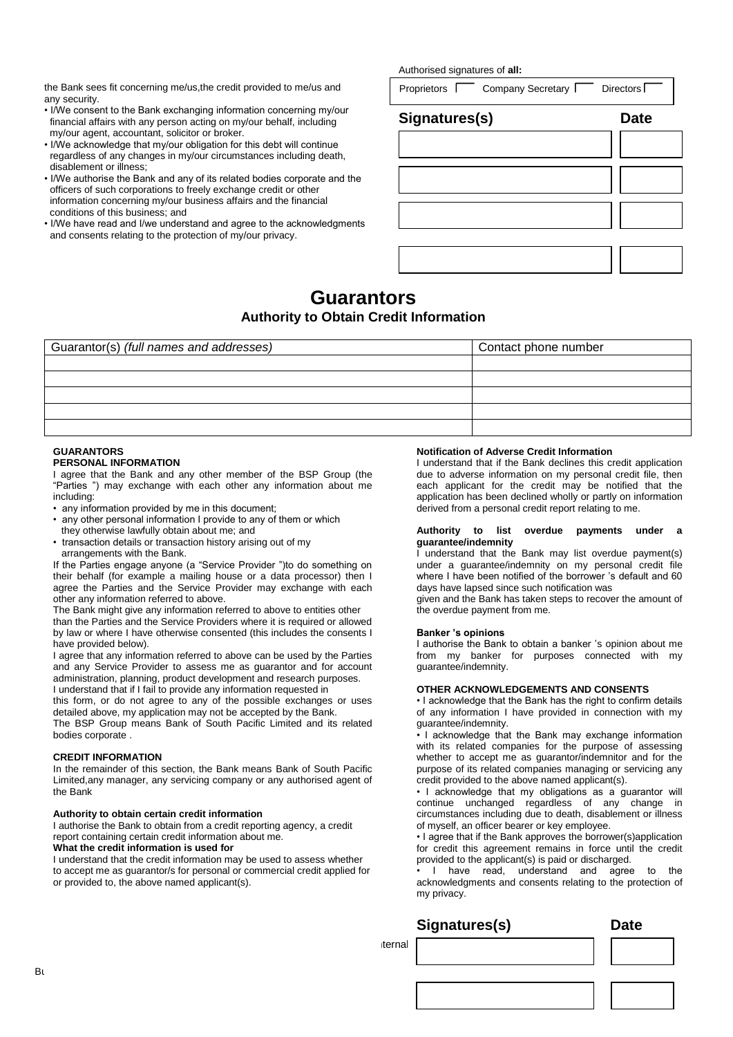the Bank sees fit concerning me/us,the credit provided to me/us and any security.

- I/We consent to the Bank exchanging information concerning my/our financial affairs with any person acting on my/our behalf, including my/our agent, accountant, solicitor or broker.
- I/We acknowledge that my/our obligation for this debt will continue regardless of any changes in my/our circumstances including death, disablement or illness;
- I/We authorise the Bank and any of its related bodies corporate and the officers of such corporations to freely exchange credit or other information concerning my/our business affairs and the financial conditions of this business; and
- I/We have read and I/we understand and agree to the acknowledgments and consents relating to the protection of my/our privacy.

Authorised signatures of **all:**

Proprietors Company Secretary Directors

# **Signatures(s) Date**

# **dd Authority to Obtain Credit Information Guarantors**

| Guarantor(s) (full names and addresses) | Contact phone number |
|-----------------------------------------|----------------------|
|                                         |                      |
|                                         |                      |
|                                         |                      |
|                                         |                      |
|                                         |                      |

### **GUARANTORS**

### **PERSONAL INFORMATION**

I agree that the Bank and any other member of the BSP Group (the "Parties ") may exchange with each other any information about me including:

- any information provided by me in this document;
- any other personal information I provide to any of them or which they otherwise lawfully obtain about me; and
- transaction details or transaction history arising out of my arrangements with the Bank.

If the Parties engage anyone (a "Service Provider ")to do something on their behalf (for example a mailing house or a data processor) then I agree the Parties and the Service Provider may exchange with each other any information referred to above.

The Bank might give any information referred to above to entities other than the Parties and the Service Providers where it is required or allowed by law or where I have otherwise consented (this includes the consents I have provided below).

I agree that any information referred to above can be used by the Parties and any Service Provider to assess me as guarantor and for account administration, planning, product development and research purposes. I understand that if I fail to provide any information requested in

this form, or do not agree to any of the possible exchanges or uses detailed above, my application may not be accepted by the Bank. The BSP Group means Bank of South Pacific Limited and its related bodies corporate .

### **CREDIT INFORMATION**

In the remainder of this section, the Bank means Bank of South Pacific Limited,any manager, any servicing company or any authorised agent of the Bank

### **Authority to obtain certain credit information**

I authorise the Bank to obtain from a credit reporting agency, a credit report containing certain credit information about me.

# **What the credit information is used for**

I understand that the credit information may be used to assess whether to accept me as guarantor/s for personal or commercial credit applied for or provided to, the above named applicant(s).

### **Notification of Adverse Credit Information**

I understand that if the Bank declines this credit application due to adverse information on my personal credit file, then each applicant for the credit may be notified that the application has been declined wholly or partly on information derived from a personal credit report relating to me.

### **Authority to list overdue payments under a guarantee/indemnity**

I understand that the Bank may list overdue payment(s) under a guarantee/indemnity on my personal credit file where I have been notified of the borrower 's default and 60 days have lapsed since such notification was

given and the Bank has taken steps to recover the amount of the overdue payment from me.

### **Banker 's opinions**

I authorise the Bank to obtain a banker 's opinion about me from my banker for purposes connected with my guarantee/indemnity.

### **OTHER ACKNOWLEDGEMENTS AND CONSENTS**

• I acknowledge that the Bank has the right to confirm details of any information I have provided in connection with my guarantee/indemnity.

• I acknowledge that the Bank may exchange information with its related companies for the purpose of assessing whether to accept me as quarantor/indemnitor and for the purpose of its related companies managing or servicing any credit provided to the above named applicant(s).

• I acknowledge that my obligations as a quarantor will continue unchanged regardless of any change in circumstances including due to death, disablement or illness of myself, an officer bearer or key employee.

• I agree that if the Bank approves the borrower(s)application for credit this agreement remains in force until the credit provided to the applicant(s) is paid or discharged.

I have read, understand and agree to the acknowledgments and consents relating to the protection of my privacy.

# Signatures(s) Date

**B**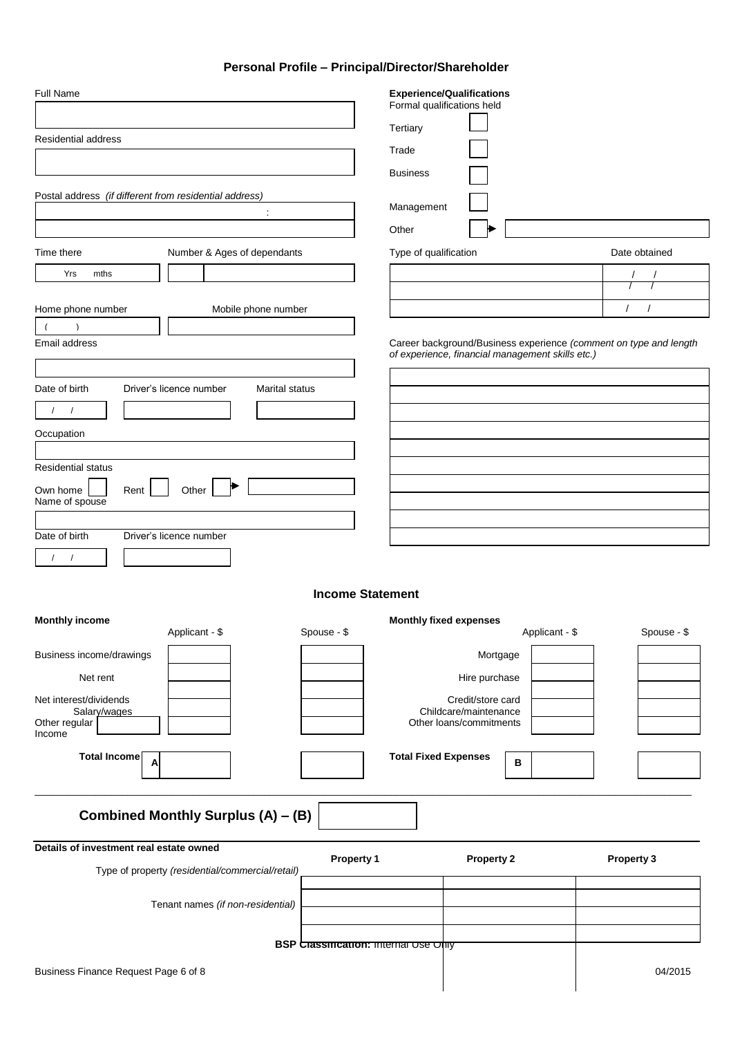# **Personal Profile – Principal/Director/Shareholder**

| Full Name                                                         | <b>Experience/Qualifications</b><br>Formal qualifications held                                                        |               |
|-------------------------------------------------------------------|-----------------------------------------------------------------------------------------------------------------------|---------------|
|                                                                   | Tertiary                                                                                                              |               |
| <b>Residential address</b>                                        | Trade                                                                                                                 |               |
|                                                                   | <b>Business</b>                                                                                                       |               |
| Postal address (if different from residential address)<br>÷       | Management                                                                                                            |               |
|                                                                   | Other                                                                                                                 |               |
| Time there<br>Number & Ages of dependants                         | Type of qualification                                                                                                 | Date obtained |
| Yrs<br>mths                                                       |                                                                                                                       |               |
| Home phone number<br>Mobile phone number                          |                                                                                                                       | $\prime$      |
| $\lambda$                                                         |                                                                                                                       |               |
| Email address                                                     | Career background/Business experience (comment on type and length<br>of experience, financial management skills etc.) |               |
|                                                                   |                                                                                                                       |               |
| Driver's licence number<br>Date of birth<br><b>Marital status</b> |                                                                                                                       |               |
|                                                                   |                                                                                                                       |               |
| Occupation                                                        |                                                                                                                       |               |
| <b>Residential status</b>                                         |                                                                                                                       |               |
| Other<br>Own home<br>Rent<br>Name of spouse                       |                                                                                                                       |               |
|                                                                   |                                                                                                                       |               |
| Date of birth<br>Driver's licence number                          |                                                                                                                       |               |
|                                                                   |                                                                                                                       |               |
|                                                                   | <b>Income Statement</b>                                                                                               |               |
| <b>Monthly income</b><br>Applicant - \$<br>Spouse - \$            | <b>Monthly fixed expenses</b><br>Applicant - \$                                                                       | Spouse - \$   |
| Business income/drawings                                          | Mortgage                                                                                                              |               |
| Net rent                                                          | Hire purchase                                                                                                         |               |
| Net interest/dividends                                            | Credit/store card                                                                                                     |               |
| Salary/wages<br>Other regular                                     | Childcare/maintenance<br>Other loans/commitments                                                                      |               |
| Income                                                            |                                                                                                                       |               |
| Total Income<br>Α                                                 | <b>Total Fixed Expenses</b><br>В                                                                                      |               |
|                                                                   |                                                                                                                       |               |
| Combined Monthly Surplus (A) - (B)                                |                                                                                                                       |               |
| Details of investment real estate owned                           | Property 1<br><b>Property 2</b>                                                                                       | Property 3    |
| Type of property (residential/commercial/retail)                  |                                                                                                                       |               |
| Tenant names (if non-residential)                                 |                                                                                                                       |               |
|                                                                   |                                                                                                                       |               |
|                                                                   | <b>BSP Crassmcation: internal Use Ohiy</b>                                                                            |               |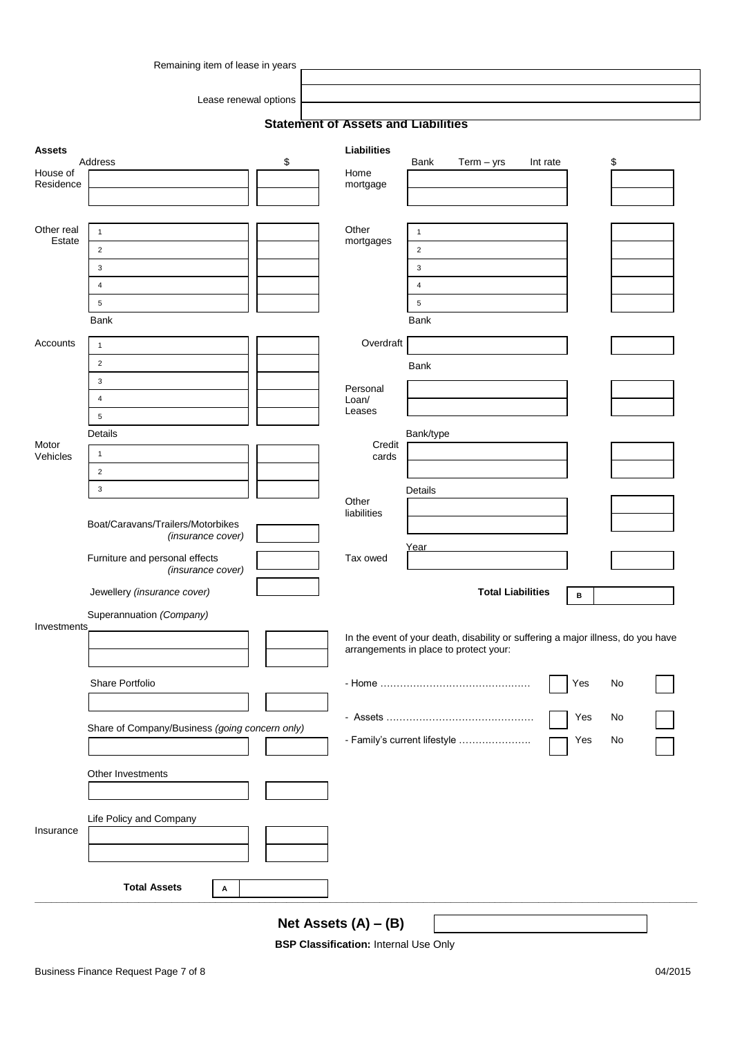Remaining item of lease in years

Lease renewal options

**Statement of Assets and Liabilities**

| <b>Assets</b>        |                                                | <b>Liabilities</b>                     |                |                                                                                  |          |           |  |
|----------------------|------------------------------------------------|----------------------------------------|----------------|----------------------------------------------------------------------------------|----------|-----------|--|
| House of             | Address                                        | \$<br>Home                             | Bank           | $Term - yrs$                                                                     | Int rate | \$        |  |
| Residence            |                                                | mortgage                               |                |                                                                                  |          |           |  |
|                      |                                                |                                        |                |                                                                                  |          |           |  |
|                      |                                                | Other                                  |                |                                                                                  |          |           |  |
| Other real<br>Estate | $\mathbf{1}$                                   | mortgages                              | $\mathbf{1}$   |                                                                                  |          |           |  |
|                      | $\overline{2}$                                 |                                        | $\overline{2}$ |                                                                                  |          |           |  |
|                      | 3                                              |                                        | $\mathbf{3}$   |                                                                                  |          |           |  |
|                      | 4                                              |                                        | $\overline{4}$ |                                                                                  |          |           |  |
|                      | 5                                              |                                        | $\,$ 5         |                                                                                  |          |           |  |
|                      | Bank                                           |                                        | Bank           |                                                                                  |          |           |  |
| Accounts             | $\mathbf{1}$                                   | Overdraft                              |                |                                                                                  |          |           |  |
|                      | $\overline{2}$                                 |                                        | Bank           |                                                                                  |          |           |  |
|                      | 3                                              | Personal                               |                |                                                                                  |          |           |  |
|                      | 4                                              | Loan/                                  |                |                                                                                  |          |           |  |
|                      | 5                                              | Leases                                 |                |                                                                                  |          |           |  |
|                      | Details                                        |                                        | Bank/type      |                                                                                  |          |           |  |
| Motor<br>Vehicles    | $\mathbf{1}$                                   | Credit<br>cards                        |                |                                                                                  |          |           |  |
|                      | $\overline{2}$                                 |                                        |                |                                                                                  |          |           |  |
|                      | 3                                              |                                        | Details        |                                                                                  |          |           |  |
|                      |                                                | Other                                  |                |                                                                                  |          |           |  |
|                      | Boat/Caravans/Trailers/Motorbikes              | liabilities                            |                |                                                                                  |          |           |  |
|                      | (insurance cover)                              |                                        |                |                                                                                  |          |           |  |
|                      | Furniture and personal effects                 | Tax owed                               | Year           |                                                                                  |          |           |  |
|                      | (insurance cover)                              |                                        |                |                                                                                  |          |           |  |
|                      | Jewellery (insurance cover)                    |                                        |                | <b>Total Liabilities</b>                                                         |          | в         |  |
|                      | Superannuation (Company)                       |                                        |                |                                                                                  |          |           |  |
| Investments          |                                                |                                        |                |                                                                                  |          |           |  |
|                      |                                                | arrangements in place to protect your: |                | In the event of your death, disability or suffering a major illness, do you have |          |           |  |
|                      |                                                |                                        |                |                                                                                  |          |           |  |
|                      | Share Portfolio                                |                                        |                |                                                                                  |          | Yes<br>No |  |
|                      |                                                |                                        |                |                                                                                  |          |           |  |
|                      |                                                |                                        |                |                                                                                  |          | Yes<br>No |  |
|                      | Share of Company/Business (going concern only) |                                        |                | - Family's current lifestyle                                                     |          | No        |  |
|                      |                                                |                                        |                |                                                                                  |          | Yes       |  |
|                      | Other Investments                              |                                        |                |                                                                                  |          |           |  |
|                      |                                                |                                        |                |                                                                                  |          |           |  |
|                      |                                                |                                        |                |                                                                                  |          |           |  |
|                      | Life Policy and Company                        |                                        |                |                                                                                  |          |           |  |
| Insurance            |                                                |                                        |                |                                                                                  |          |           |  |
|                      |                                                |                                        |                |                                                                                  |          |           |  |
|                      |                                                |                                        |                |                                                                                  |          |           |  |
|                      | <b>Total Assets</b><br>Α                       |                                        |                |                                                                                  |          |           |  |
|                      |                                                |                                        |                |                                                                                  |          |           |  |
|                      |                                                | Net Assets $(A) - (B)$                 |                |                                                                                  |          |           |  |

**BSP Classification:** Internal Use Only